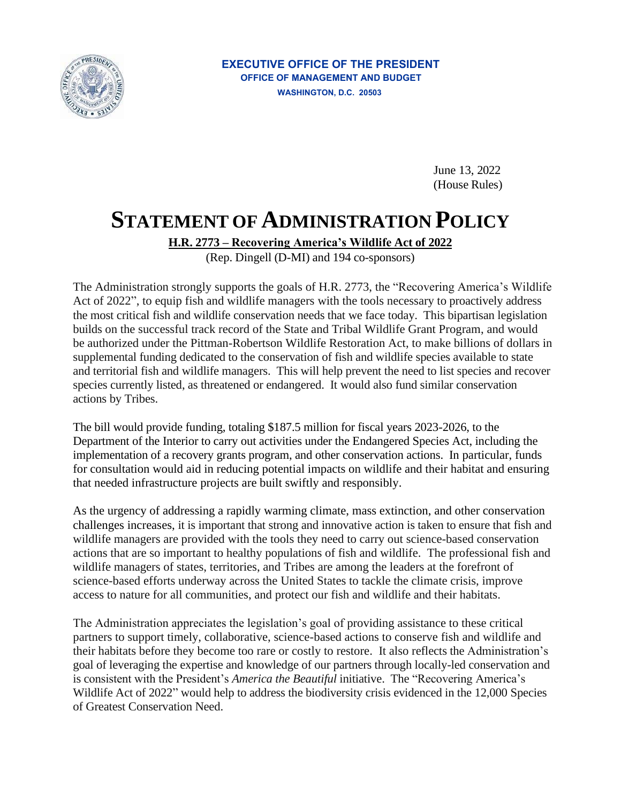

## **EXECUTIVE OFFICE OF THE PRESIDENT OFFICE OF MANAGEMENT AND BUDGET WASHINGTON, D.C. 20503**

June 13, 2022 (House Rules)

## **STATEMENT OF ADMINISTRATION POLICY**

**H.R. 2773 – Recovering America's Wildlife Act of 2022** 

(Rep. Dingell (D-MI) and 194 co-sponsors)

 the most critical fish and wildlife conservation needs that we face today. This bipartisan legislation supplemental funding dedicated to the conservation of fish and wildlife species available to state and territorial fish and wildlife managers. This will help prevent the need to list species and recover species currently listed, as threatened or endangered. It would also fund similar conservation The Administration strongly supports the goals of H.R. 2773, the "Recovering America's Wildlife Act of 2022", to equip fish and wildlife managers with the tools necessary to proactively address builds on the successful track record of the State and Tribal Wildlife Grant Program, and would be authorized under the Pittman-Robertson Wildlife Restoration Act, to make billions of dollars in actions by Tribes.

 The bill would provide funding, totaling \$187.5 million for fiscal years 2023-2026, to the Department of the Interior to carry out activities under the Endangered Species Act, including the implementation of a recovery grants program, and other conservation actions. In particular, funds for consultation would aid in reducing potential impacts on wildlife and their habitat and ensuring that needed infrastructure projects are built swiftly and responsibly.

 challenges increases, it is important that strong and innovative action is taken to ensure that fish and actions that are so important to healthy populations of fish and wildlife. The professional fish and As the urgency of addressing a rapidly warming climate, mass extinction, and other conservation wildlife managers are provided with the tools they need to carry out science-based conservation wildlife managers of states, territories, and Tribes are among the leaders at the forefront of science-based efforts underway across the United States to tackle the climate crisis, improve access to nature for all communities, and protect our fish and wildlife and their habitats.

 their habitats before they become too rare or costly to restore. It also reflects the Administration's goal of leveraging the expertise and knowledge of our partners through locally-led conservation and is consistent with the President's *America the Beautiful* initiative. The "Recovering America's Wildlife Act of 2022" would help to address the biodiversity crisis evidenced in the 12,000 Species of Greatest Conservation Need. The Administration appreciates the legislation's goal of providing assistance to these critical partners to support timely, collaborative, science-based actions to conserve fish and wildlife and